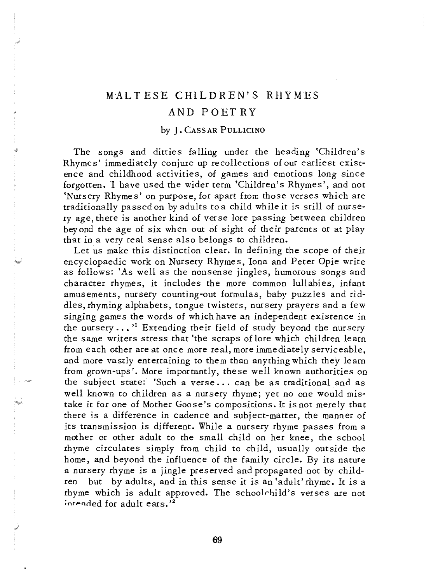## M'ALT ESE CHILDREN'S RHYMES

## AND POET RY

## by J. CASSAR PULLICINO

The songs and ditties falling under the heading 'Children's Rhymes' immediately conjure up recollections of our earliest *exist*ence and childhood activities, of games and emotions long since forgotten. I have used the wider term 'Children's Rhymes', and not 'Nursery Rhyme s' on purpose, for apart fron: those verses which are traditionally passed on by adults to a child while it is still of nursery age, there *is* another kind of verse lore passing between children beyond the age of *six* when out of sight of their parents or at play that in a very real sense also belongs to children.

Let us make this distinction clear. In defining the scope of their encyclopaedic work on Nursery Rhymes, Iona and Peter Opie write as follows: 'As well as the nonsense jingles, humorous songs and character rhymes, it includes the more common lullabies, infant amusements, nursery counting-out formulas, baby puzzles and riddles, rhyming alphabets, tongue twisters, nursery prayers and a few singing games the words of which have an independent existence in the nursery  $\dots$ <sup>1</sup> Extending their field of study beyond the nursery the same writers stress that 'the scraps of lore which children learn from each other are at once more real, more immediately serviceable, and more vastly entertaining to them than anything which they learn from grown-ups'. More importantly, the se well known authorities on the subject state: 'Such a verse ... can be as traditional and as well known to children as a nursery rhyme; yet no one would mistake it for one of Mother Goose's compositions. It *is* not merely that there is a difference in cadence and subject-matter, the manner of its transmission *is* different. While a nursery rhyme passes from a maher or other adult to the small child on her knee, the school rhyme circulates simply from child to child, usually outside the home, and beyond the influence of the family circle. By its nature a nursery rhyme is a jingle preserved and propagated not by children but by adults, and in this sense it *is* an 'adult' rhyme. It is a rhyme which *is* adult approved. The schoolrhild's verses are not  $intended for adult ears.<sup>2</sup>$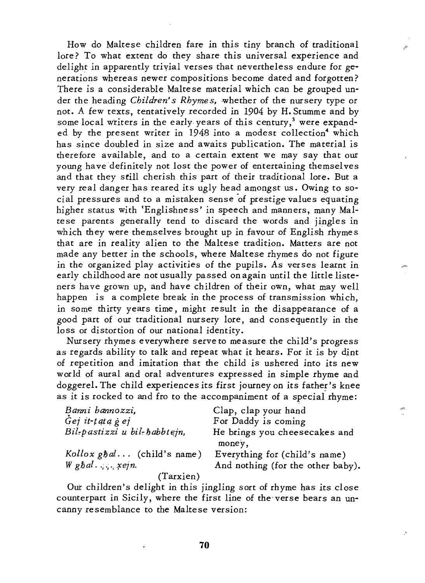How do Maltese children fare in this tiny branch of traditional lore? To what extent do they share this universal experience and delight in apparently triyial verses that nevertheless endure for generations whereas newer compositions become dated and forgotten? There *is* a considerable Maltese material which can be grouped under the heading *Children's Rhymes*, whether of the nursery type or not. A few texts, tentatively recorded in 1904 by H. Stumme and by some local writers in the early years of this century,<sup>3</sup> were expanded by the present writer in  $1948$  into a modest collection<sup>4</sup> which has since doubled in *size* and awaits publication. The material is therefore available, and to a certain extent we may say that our young have definitely not lost the power of entertaining themselves and that they *still* cherish *this* part of their traditional lore. But a very real danger has reared *its* ugly head amongst us. Owing to social pressures and to a mistaken sense 'of prestige values equating higher status with 'Englishness' in speech and manners, many Maltese parents generally tend to discard the words and jingles *in*  which they were themselves brought up *in* favour of English rhymes that are in reality alien to the Maltese tradition. Matters are not made any better *in* the schools, where Maltese rhymes do not *figure*  in the organized play *activities* of the pupils. As verses learnt *in*  early childhood are not usually passed on again *until* the *little liste*ners have grown up, and have children of their own, what may well happen *is* a complete break *in* the process of transmission which, *in* some thirty years *time,* might result in the disappearance of a good part of our traditional nursery lore, and cons equently in the loss or distortion of our national identity.

Nursery rhymes everywhere serve to measure the child's progress as regards ability to talk and repeat what *it* hears. For *it is* by dint of repetition and imitation that the child *is* ushered into *its* new world of aural and oral adventures expressed in *simple* rhyme and doggerel. The child experiences *its* first journey on *its* father's knee as *it is* rocked to and fro to the accompaniment of a special'rhyme:

| Banni bannozzi,              | Clap, clap your hand              |
|------------------------------|-----------------------------------|
| $\dot{G}$ ej it-tata g ej    | For Daddy is coming               |
| Bil-pastizzi u bil-habbtejn, | He brings you cheesecakes and     |
|                              | money,                            |
| Kollox $gbd$ (child's name)  | Everything for (child's name)     |
| $W$ gbal $xejn$ .            | And nothing (for the other baby). |
| (Tarxien)                    |                                   |

Out children's delight in this jingling sort of rhyme has *its* close counterpart in *Sicily,* where the first line of the verse bears an uncanny resemblance to the Maltese version: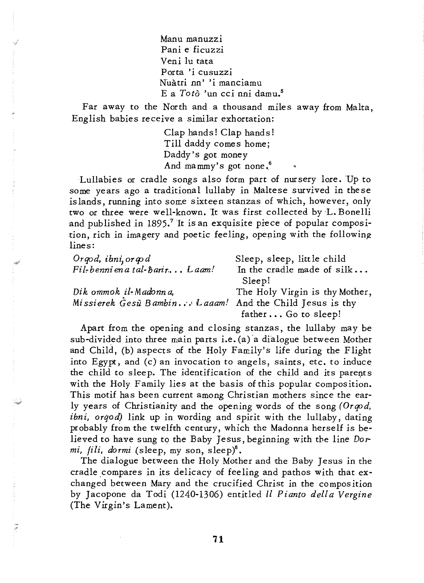Manu manuzzi Pani e ficuzzi Veni lu tata Porta 'i cusuzzi Nuatri nn' 'i manciamu E a *Toto* 'un cci nni damu.5

Far away to the North and a thousand miles away from Malta, English babies receive a similar exhortation:

> Clap hands! Clap hands! Till daddy comes home; Daddy's got money And mammy's got none. $^6$

Lullabies or cradle songs also form part of nursery lore. Up to some years ago a traditional lullaby in Maltese survived in these islands, running into some sixteen stanzas of which, however, only two or three were well-known. It was first collected by L. Bonelli and published in 1895.7 It *is* an exquisite *piece* of popular composition, rich in imagery and poetic feeling, opening with the following lines:

| Orgod, ibni, orgod                                      | Sleep, sleep, little child     |
|---------------------------------------------------------|--------------------------------|
| Fil-benni en a tal-harir Laam!                          | In the cradle made of silk     |
|                                                         | Sleep!                         |
| Dik ommok il-Madonna,                                   | The Holy Virgin is thy Mother, |
| Missierek Gesù Bambin Laaam! And the Child Jesus is thy |                                |
|                                                         | father  Go to sleep!           |

Apart from the opening and closing stanzas, the lullaby maybe sub-divided into three main parts i.e. (a) a dialogue between Mother and Child, (b) aspects of the Holy Family's life during the Flight into Egypt, and (c) an invocation to angels, saints, etc. to induce the child to sleep. The identification of the child and its parents with the Holy Family lies at the basis of this popular composition. This motif has been current among Christian mothers since the early years of Christianity and the opening words of the song *(Orqod, ibni, orqod)* link up in wording and spirit with the lullaby, dating probably from the twelfth century, which the Madonna herself is believed to have sung to the Baby Jesus, beginning with the line  $Dor$ *mi, fili, dormi* (sleep, my son, sleep)8.

The dialogue between the Holy Mother and the Baby Jesus in the cradle compares in its delicacy of feeling and pathos with that exchanged between Mary and the crucified Christ in the composition by Jacopone da Todi (1240-1306) entitled *Il Pianto della Vergine*  (The Virgin's Lament).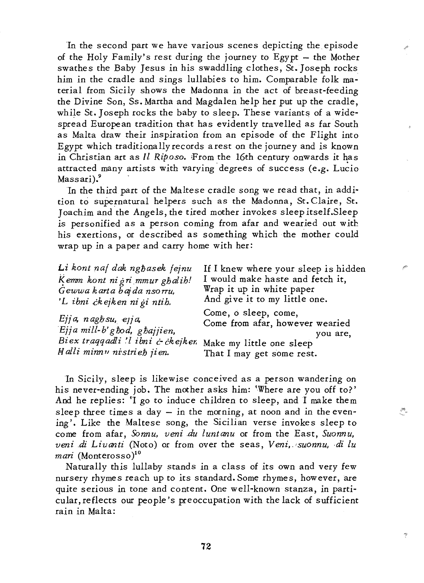In the second part we have various scenes *depicting* the *episode*  of the Holy Family's rest during the journey to  $E$ gypt  $-$  the Mother swathes the Baby Jesus *in his* swaddling clothes, St. Joseph rocks *him in* the cradle and *sings* lullabies to *him.* Comparable folk material from *Sicily* shows the Madonna in the act of breast-feeding the *Divine* Son, Ss. Martha and Magdalen help her put up the cradle, while St. Joseph rocks the baby to sleep. These variants of a widespread European tradition that has evidently travelled as far South as Malta draw their *inspiration* from an *episode* of the Flight *into*  Egypt which traditionally records arest on the journey and *is* known in Christian art as *Il Riposo*. From the 16th century onwards it has attracted many artists with varying degrees of success (e.g. Lucio Massari).<sup>9</sup>

In the third part of the Maltese cradle song we read that, in addition to supernatural helpers such as the Madonna, St. Claire, St. J oachim and the Angels, the tired mother invokes sleep itself.Sleep *is personified as a person coming from afar and wearied out with his* exertions, or described as something which the mother could wrap up *in* a paper and carry home with her:

| Li kont naf dak nghasek fejnu                      | If I knew where your sleep is hidden                                |
|----------------------------------------------------|---------------------------------------------------------------------|
| Kemm kont ni gri mmur ghalih!                      | I would make haste and fetch it,                                    |
| Gewwa karta bajda nsorru,                          | Wrap it up in white paper                                           |
| 'L ibni ckejken ni gi ntih.                        | And give it to my little one.                                       |
| Ejja, naghsu, ejja,<br>Ejja mill-b'ghod, ghajjien, | Come, o sleep, come,<br>Come from afar, however wearied<br>you are, |
| Biex traggadli 'l ibni & ckejker.                  | Make my little one sleep                                            |
| Halli minnu nistrieh jien.                         | That I may get some rest.                                           |

In *Sicily,* sleep *is* likewise conceived as a person wandering on his never-ending job. The mother asks *him:* 'Where are you off to?' And he replies: 'I go to induce children to sleep, and I make them sleep three times a day  $-$  in the morning, at noon and in the evening'. Like the Maltese song, the Sicilian verse invokes sleep to come from afar, *Sonnu*, *veni du luntanu* or from the East, *Suonnu*, *veni di Liuanti* (Noto) or from over the seas, *Veni, suonnu, di lu mari* (Monterosso)<sup>10</sup>

Naturally this lullaby stands in a class of *its* own and very few nursery rhymes reach up to *its* standard. Some rhymes, however, are quite serious *in* tone and content. One well-known stanza, *in* particular, reflects our people's preoccupation with the lack of sufficient rain in Malta: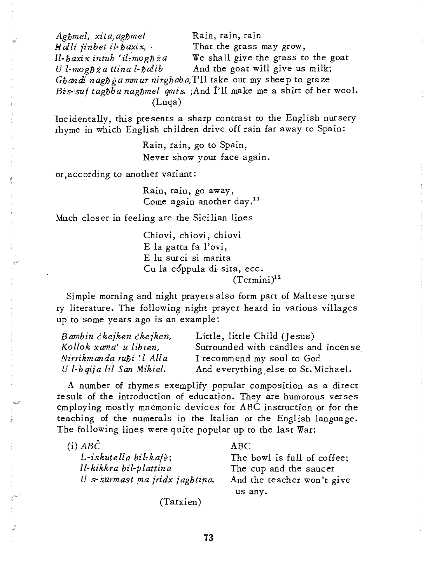*Aghmel, xita, aghmel* Rain, rain, rain Halli jinbet il- $\hbar$ axix, That the grass may grow, *Il-haxix intuh 'il-moghza* We shall give the grass to the goat *U l-moghia ttina l-halib* And the goat will give us milk; Ghandi nagh ga mmur nirghaha, I'll take out my sheep to graze Bis-suf taghha naghmel qmis. And I'll make me a shirt of her wool. (Luqa)

Incidentally, *this* presents a sharp contrast to the English nursery rhyme in which English children drive off rain far away to Spain:

> Rain, rain, go to Spain, Never show your face again.

or ,according to another variant:

Rain, rain, go away, Come again another day.<sup>11</sup>

Much closer in feeling are the Sicilian lines

Chiovi, chiovi, chiovi E la gatta fa l'ovi, E lu surci si marita Cu la cóppula di sita, ecc.  $(Termini)^{12}$ 

Simple morning and night prayers also form part of Maltese nurse ry literature. The following night prayer heard in various villages up to some years ago *is* an' example:

| Bambin ckejken ckejken,    | Little, little Child (Jesus)        |
|----------------------------|-------------------------------------|
| Kollok xama'u libien,      | Surrounded with candles and incense |
| Nirrikmanda ruħi 'l Alla   | I recommend my soul to God          |
| U l-b gija lil San Mikiel. | And everything else to St. Michael. |

A number of rhymes exemplify popular composition as a direct result of the introduction of education. They are humorous verses employing mostly mnemonic devices for ABC instruction or for the teaching of the numerals in the Italian or the English language. The following lines were quite popular up to the last War:

| $(i)$ $AB\dot{C}$              | ABC.                        |
|--------------------------------|-----------------------------|
| L-iskutella bil-kafè;          | The bowl is full of coffee; |
| Il-kikkra bil-plattina         | The cup and the saucer      |
| U s surmast ma jridx jaghtina. | And the teacher won't give  |
|                                | us any.                     |

(Tarxien)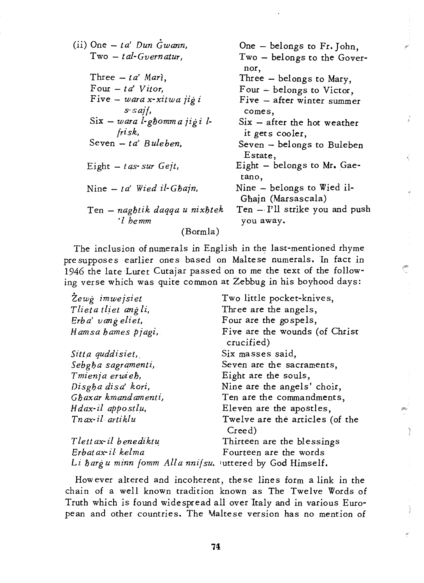| (ii) One $- ta'$ Dun Gwann,                               | One - belongs to Fr. John,                       |
|-----------------------------------------------------------|--------------------------------------------------|
| $Two - tal-Gvernatur.$                                    | Two - belongs to the Gover-                      |
|                                                           | nor,                                             |
| Three $- ta'$ Mari,                                       | Three - belongs to Mary,                         |
| Four $- t a'$ Vitor.                                      | Four - belongs to Victor,                        |
| Five $-$ wara x-xitwa jigi                                | Five - after winter summer                       |
| $s$ saif,                                                 | comes,                                           |
| $\text{Six} - \text{ward } l$ -g $\text{bound } i$ igi l- | $Six - after the hot weather$                    |
| frisk,                                                    | it gets cooler,                                  |
| Seven $- ta' Buleben$ ,                                   | Seven - belongs to Buleben<br>Estate,            |
| Eight $-$ t as sur Gejt,                                  | Eight $-$ belongs to Mr. Gae-<br>tano,           |
| Nine $- ta'$ Wied il-Ghain,                               | Nine - belongs to Wied il-<br>Ghajn (Marsascala) |
| Ten – naghtik daqqa u nixhtek<br>'l bemm                  | Ten - I'll strike you and push<br>you away.      |
| (Bormla)                                                  |                                                  |
|                                                           |                                                  |

The inclusion of numerals in English in the last-mentioned rhyme presupposes earlier ones based on Maltese numerals. In fact in 1946 the late Luret Cutajar passed on to me the text of the following verse which was quite common at Zebbug in his boyhood days:

| Zewg imwejsiet                                          | Two little pocket-knives,                    |
|---------------------------------------------------------|----------------------------------------------|
| Tlieta tliet ang li,                                    | Three are the angels,                        |
| Erba' vang eliet,                                       | Four are the gospels,                        |
| Hamsa hames pjagi,                                      | Five are the wounds (of Christ<br>crucified) |
| Sitta quddisiet,                                        | Six masses said,                             |
| Sebgha sagramenti,                                      | Seven are the sacraments,                    |
| Tmienja erwieh,                                         | Eight are the souls,                         |
| Disgha disa' kori,                                      | Nine are the angels' choir,                  |
| Ghaxar kmandamenti,                                     | Ten are the commandments,                    |
| Hdax-il appostlu,                                       | Eleven are the apostles,                     |
| Tnax-il artiklu                                         | Twelve are the articles (of the<br>Creed)    |
| Tlett ax-il benediktu                                   | Thirteen are the blessings                   |
| Erbatax il kelma                                        | Fourteen are the words                       |
| Li hargu minn fomm Alla nnifsu. uttered by God Himself. |                                              |

However altered and incoherent, these lines form a link in the chain of a well known tradition known as The Twelve Words of Truth which is found widespread all over Italy and in various European and other countries. The Maltese version has no mention of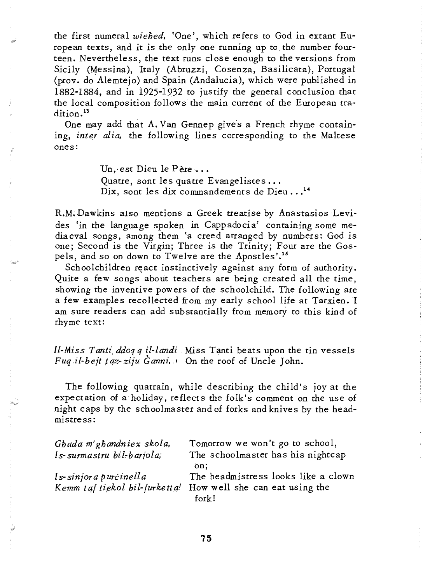the first numeral *wiehed,* 'One', which refers to God in extant European texts, and it is the only one running up *to,* the number fourteen. Nevertheless, the text runs close enough to the versions from Sicily (Messina), Italy (Abruzzi, Cosenza, Basilicata), Portugal (prov. do Alemtejo) and Spain (Andalucia), which were published in 1882-1884, and in 1925-1932 to justify the general conclusion that the local composition follows the main current of the European tradition.<sup>13</sup>

One may add that A. Van Gennep give's a French rhyme containing, *inter alia*, the following lines corresponding to the Maltese ones:

> Un, est Dieu le Père ... Quatre, sont les quatre Evangelistes... Dix, sont les dix commandements de Dieu...<sup>14</sup>

R.M; Dawkins also mentions a Greek treatise by Anastasios Levides *'in* the language spoken in Cappadocia' containing some mediaeval songs, among them 'a creed arranged by numbers: God is one; Second is the Virgin; Three *is* the Trinity; Four are the Gospels, and so on down to Twelve are the Apostles'.<sup>15</sup>

Schoolchildren react instinctively against any form of authority. Quite a few songs about teachers are being created all the time, showing the inventive powers of the schoolchild. The following are a few examples recollected from my early school life at Tarxien. I am sure readers can add substantially from memory to this kind of rhyme text:

*Il-Miss Tanti, ddo1, q il-landi* Miss Tanti beats upon the tin vessels *Fuq .il-bejt tqz-ziju Ganni.'* On the roof of Uncle John.

The following quatrain, while describing the child's joy at the expectation of a'holiday, reflects the folk's comment on the use of night caps by the schoolmaster and of forks and knives by the headmistress:

| Ghada m'ghandniex skola,      | Tomorrow we won't go to school,          |
|-------------------------------|------------------------------------------|
| Is-surmastru bil-barjola;     | The schoolmaster has his nightcap<br>on: |
| Is-sinjor a purcinella        | The headmistress looks like a clown      |
| Kemm taf tiekol bil-furketta! | How well she can eat using the           |
|                               | fork!                                    |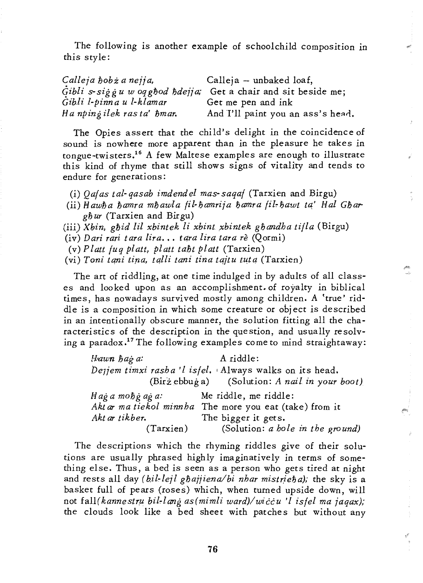The following is another example of schoolchild composition in this style:

| Calleja hobz a nejja,     | Calleja - unbaked loaf,                                        |
|---------------------------|----------------------------------------------------------------|
|                           | Gibli s-siggu w oq gbod bdejja; Get a chair and sit beside me; |
| Gibli l-pinna u l-klamar  | Get me pen and ink                                             |
| Ha npingilek rasta' hmar. | And I'll paint you an ass's head.                              |

The Opies assert that the child's delight in the coincidence of sound is nowhere more apparent than in the pleasure he takes in tongue-twisters.16 A few Maltese examples are enough to illustrate this kind of rhyme that still shows signs of vitality and tends to endure for generations:

- (i) *Qa/as tal-qasab imdendel mas-saqa/* (Tarxien and Birgu)
- (ii) *Hawha hamra mhawla fil-hamrija hamra fil-hawt ta' Hal Ghargfiur* (Tarxien and Birgu)
- (iii) *Xbin, gfJid lil xbintek li xbint ,xbintek gfiandha tilla* (Birgu)
- (iv) *Dari ran tara lira •* •• *tara lira tara re* (Qormi)
- (v) *Platt luq pIatt, platt tafjt platt* (Tarxien)
- (vi) *Toni tqni tirza, tqlIi tani tina tqjtu tu;tq* (Tarxien)

The art of riddling, at one time indulged in by adults of all classes and looked upon as an accomplishment. of royalty in biblical times, has nowadays survived mostly among children. A 'true' riddle is a composition in which some creature or object is described in an intentionally obscure manner, the solution fitting all the characteristics of the description in the question, and usually resolving a paradox.17 The following examples come to mind straightaway: Q.

| Hawn hag a:                                     | A riddle:                                               |
|-------------------------------------------------|---------------------------------------------------------|
|                                                 | Dejjem timxi rasha'l isfel. Always walks on its head.   |
|                                                 | $(Bir\ z\ ebb)$ (Solution: A nail in your boot)         |
| $Hag\ a\ mobj\ a\ g\ a$ : Me riddle, me riddle: |                                                         |
|                                                 | Akt ar ma tiekol minnba The more you eat (take) from it |
| Akt ar tikber.                                  | The bigger it gets.                                     |
| (Tarxien)                                       | (Solution: a hole in the ground)                        |

The descriptions which the rhyming riddles give of their solutions are usually phrased highly imaginatively in terms of something else. Thus, a bed is seen as a person who gets tired at night and rests all day (*bil-lejl ghajjiena/bi nhar mistrieha*); the sky is a basket full of pears (roses) which, when turned upside down, will not fall(kannestru bil-lang as(mimli ward)/wiccu 'l isfel ma jaqax); the clouds look like a bed sheet with patches but without any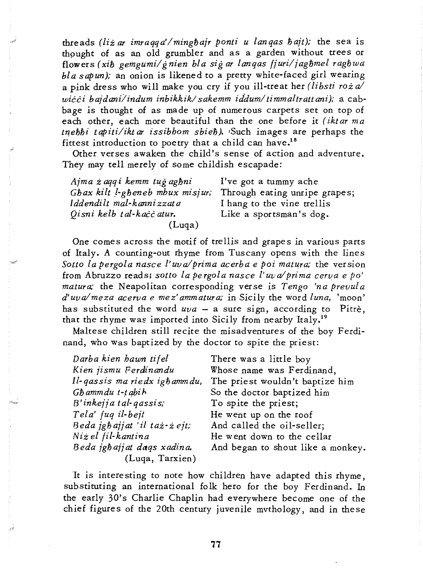threads *(liz ar imraqqa'/minghajr ponti u lanqas hajt)*; the sea is thought of as an old grumbler and as a garden without trees or flowers (xih gemgumi/gnien bla sig ar langas fjuri/jaghmel raghwa *bla sap un);* an onion *is* likened to a pretty white-faced girl wearing a pink dress who will make you cry if you ill-treat her *(libsti roia wicci bajdanilindum inbikkik/ sakemm idduml timmaltratt ani);* a cabbage *is* thought of as made up of numerous carpets set on top of each other, each more beautiful than the one before *it (iktar ma*  tnebhi tapiti/iktar issibhom sbieh). Such images are perhaps the fittest introduction to poetry that a child can have.<sup>18</sup>

Other verses awaken the child's sense of action and adventure. They may tell merely of some childish escapade:

| Ajma żagqi kemm tug aghni       | I've got a tummy ache         |
|---------------------------------|-------------------------------|
| Ghax kilt l-gheneb mhux misjur; | Through eating unripe grapes; |
| Iddendilt mal-kannizzata        | I hang to the vine trellis    |
| Qisni kelb tal-kacc atur.       | Like a sportsman's dog.       |
| (Luqa)                          |                               |

One comes across the *motif* of trellis and grapes in various parts of Italy. A counting-out rhyme from Tuscany opens with the lines Sotto la pergola nasce l'uva/prima acerba e poi matura; the version from Abruzzo reads; sotto la pergola nasce l'uva/prima cerva e po' *matura;* the Neapolitan corresponding verse *is Tengo 'na prevula d'uvalmeza acerva e mez' ammatwa;* in Sicily the word *luna,* 'moon' has substituted the word  $uva - a$  sure sign, according to Pitre, that the rhyme was imported into *Sicily* from nearby Italy.19

Maltese children *still* recite the misadventures of the boy Ferdinand, who Was baptized by the doctor to spite the priest:

| Darba kien bawn tifel          | There was a little boy            |
|--------------------------------|-----------------------------------|
| Kien jismu Ferdinandu          | Whose name was Ferdinand,         |
| Il-qassis ma riedx igh amm du, | The priest wouldn't baptize him   |
| Gh amm du t-t abi h            | So the doctor baptized him        |
| B'inkejja tal-gassis;          | To spite the priest;              |
| Tela' fug il-bejt              | He went up on the roof            |
| Beda jgbajjat 'il taż-żejt;    | And called the oil-seller;        |
| Niz el fil-kantina             | He went down to the cellar        |
| Beda jghajjat daqs xadina.     | And began to shout like a monkey. |
| (Luqa, Tarxien)                |                                   |

It *is* interesting to note how children have adapted this rhyme, substituting an international folk hero for the boy Ferdinand. In the early 30's Charlie Chaplin had everywhere become one of the chief figures of the 20th century juvenile mvthology, and in these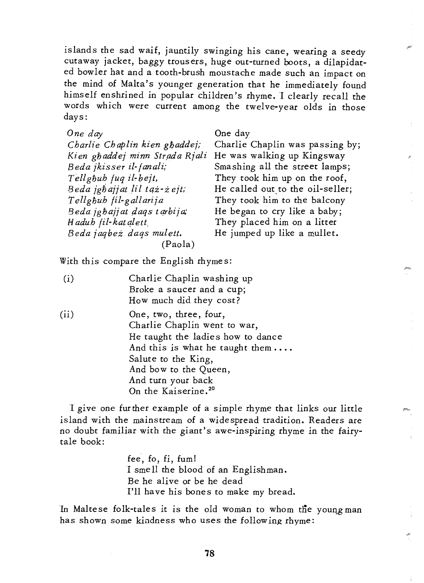islands the sad waif, jauntily swinging his cane, wearing a seedy cutaway jacket, baggy trousers, huge out-turned boots, a dilapidated bowler hat and a tooth-brush moustache made such an impact on the mind of Malta's younger generation that he immediately found himself enshrined in popular children's rhyme. I clearly recall the words which were current among the twelve-year olds in those days:

| One day                        |
|--------------------------------|
| Charlie Chaplin kien ghaddej;  |
| Kien ghaddej minn Strada Rjali |
| Beda jkisser il-fanali;        |
| Tellghuh fuq il-bejt,          |
| Beda jgbajjat lil taz-zejt;    |
| Tellghuh fil-gallarija         |
| Beda įgbajį at dags tarbija,   |
| Hadub fil-katalett             |
| Beda jagbeż dags mulett.       |
| (Paola)                        |

One day

Charlie Chaplin was passing by; li He was walking up Kingsway Smashing all the street lamps; They took him up on the roof, He called out to the oil-seller; They took him to the balcony He began to cry like a baby; They placed him on a litter He jumped up like a mullet.

With this compare the English rhymes:

| (i)  | Charlie Chaplin washing up<br>Broke a saucer and a cup;                                     |
|------|---------------------------------------------------------------------------------------------|
|      | How much did they cost?                                                                     |
| (ii) | One, two, three, four,<br>Charlie Chaplin went to war,<br>He taught the ladies how to dance |
|      | And this is what he taught them                                                             |
|      | Salute to the King,                                                                         |
|      | And bow to the Queen,                                                                       |
|      | And turn your back                                                                          |
|      | On the Kaiserine. <sup>20</sup>                                                             |

I give one further example of a simple rhyme that links our *little*  island with the mainstream of a widespread tradition. Readers are no doubt familiar with the giant's awe-inspiring rhyme in the fairytale book:

> fee, fo, fi, fum! I smell the blood of an Englishman. Be he alive or be he dead I'll have his bones to make my bread.

In Maltese folk-tales it is the old woman to whom the young man has shown some kindness who uses the following rhyme: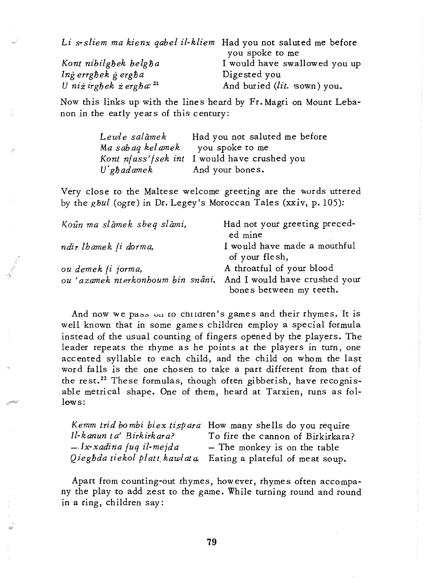*Li s-sliem ma kienx qabel il-kliem* Had you not saluted me before you spoke to me *Kont nibilgbek belgba* I would have swallowed you up *lng errgbek g ergba* Digested you<br>Unizirgbek z ergba<sup>21</sup> And buried (li And buried *(lit.* **sown**) you.

Now this links up with the lines heard by Fr. Magri on Mount Lebanon in the early years of this century:

| Lewle salàmek                    | Had you not saluted me before                 |
|----------------------------------|-----------------------------------------------|
| Ma sabaq kelamek you spoke to me |                                               |
|                                  | Kont nfass' fsek int I would have crushed you |
| $U$ ghadamek                     | And your bones.                               |

Very close to the Maltese welcome greeting are the words uttered by the *gbul* (ogre) in Dr. Legey's Moroccan Tales (xxiv, p. 105):

| Koûn ma slàmek sbeq slàmi,        | Had not your greeting preced-<br>ed mine                 |
|-----------------------------------|----------------------------------------------------------|
| ndir lhamek fi dorma,             | I would have made a mouthful<br>of your flesh,           |
| ou demek fi jorma,                | A throatful of your blood                                |
| ou 'azamek nterkonhoum bin snâni. | And I would have crushed your<br>bones between my teeth. |

And now we pass on to children's games and their rhymes. It is well known that in some games children employ a special formula instead of the usual counting of fingers opened by the players. The leader repeats the rhyme as he points at the players in turn, one accented syllable to each child, and the child on whom the last word falls is the one chosen to take a part different from that of the rest.<sup>22</sup> These formulas, though often gibberish, have recognisable metrical shape. One of them, heard at Tarxien, runs as follows:

|                             | Kemm trid bombi biex tispara How many shells do you require  |
|-----------------------------|--------------------------------------------------------------|
| Il-kanun ta' Birkirkara?    | To fire the cannon of Birkirkara?                            |
| $- Ix$ -xadina fuq il-mejda | - The monkey is on the table                                 |
|                             | Qieghda tiekol platt kawlata Eating a plateful of meat soup. |

Apart from counting-out rhymes, however, rhymes often accompany the play to add zest to the game. While turning round and round in a ring, children say: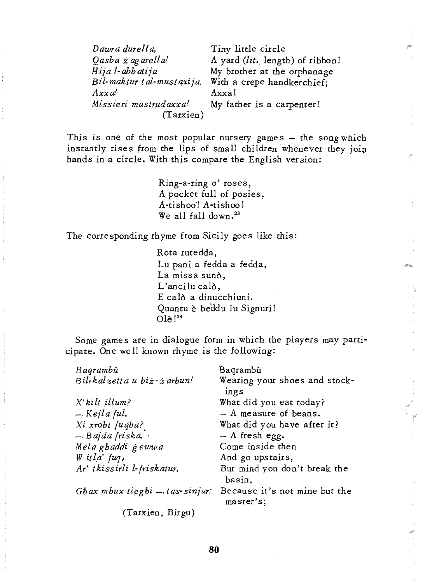| Dawra durella,              | Tiny little circle              |
|-----------------------------|---------------------------------|
| Qasba ż ag arella!          | A yard (lit. length) of ribbon! |
| Hijal-abbatija              | My brother at the orphanage     |
| Bil-maktur t al-must axija, | With a crepe handkerchief;      |
| $A$ xx a'                   | Axxa!                           |
| Missieri mastrudaxxa!       | My father is a carpenter!       |
| (Tarxien)                   |                                 |

This is one of the most popular nursery games - the song which instantly rises from the lips of small children whenever they join hands in a circle. With this compare the English version:

> Ring-a-ring 0' roses, A pocket full of posies, A-tishoo'! A-tishoo! We all fall down. $^{23}$

The corresponding rhyme from Sicily goes like this:

Rota rutedda, Lu pani a fedda a fedda, La missa sunò, L'ancilu calò, E calò a dinucchiuni. Quantu è beddu lu Signuri! Ole !24

Some games are in dialogue form in which the players may participate. One we 11 known rhyme is the following:

| Baqrambù                                  | Bagrambù                                   |
|-------------------------------------------|--------------------------------------------|
| Bil-kalzetta u biż-żarbun!                | Wearing your shoes and stock-<br>ings      |
| X'kilt illum?                             | What did you eat today?                    |
| , Kejla ful.                              | $-$ A measure of beans.                    |
| Xi xrobt fuqha?                           | What did you have after it?                |
| $-$ Bajda friska.                         | $-$ A fresh egg.                           |
| Mela ghaddi gewwa                         | Come inside then                           |
| W itla' $fug$ ,                           | And go upstairs,                           |
| Ar' tkissirli l-friskatur,                | But mind you don't break the<br>basin,     |
| $G$ <i>hax mbux tieghi - tas-sinjur</i> ; | Because it's not mine but the<br>master's; |
| (Tarxien, Birgu)                          |                                            |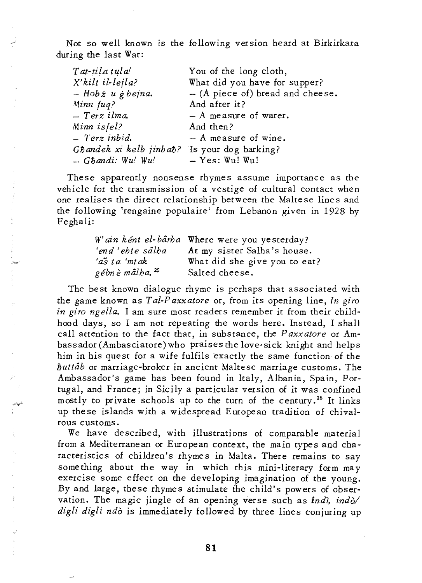Not so well known is the following version heard at Birkirkara during the last War:

| Tat-tila tula!                               | You of the long cloth,             |
|----------------------------------------------|------------------------------------|
| X'kilt il-lejla?                             | What did you have for supper?      |
| $-$ Hob $\dot{z}$ u $\dot{z}$ bejna.         | $-$ (A piece of) bread and cheese. |
| Minn fug?                                    | And after it?                      |
| - Terz ilma.                                 | $- A$ measure of water.            |
| Minn isfel?                                  | And then?                          |
| - Terz inbid.                                | $-$ A measure of wine.             |
| Ghandek xi kelb jinbah? Is your dog barking? |                                    |
| $-G\hbar$ andi: Wu! Wu!                      | $-$ Yes: Wu! Wu!                   |

These apparently nonsense rhymes assume importance as the vehicle for the transmission of a vestige of cultural contact when one realises the direct relationship between the Maltese lines and the following 'rengaine populaire' from Lebanon given in 1928 by Feghali:

|                            | W'ain ként el-bârha Where were you yesterday? |
|----------------------------|-----------------------------------------------|
| 'end 'ebte sâlba           | At my sister Salha's house.                   |
| 'aš ta 'mtak               | What did she give you to eat?                 |
| gébnè mâlha. <sup>25</sup> | Salted cheese.                                |

The best known dialogue rhyme is perhaps that associated with the game known as *Tal-Paxxatore* or, from its opening line, *In giro in giro ngella.* I am sure most readers remember it from their childhood days, so I am not repeating the words here. Instead, I shall call attention to the fact that, in substance, the *Paxxatore* or Ambassador (Ambasciatore) who praises the love-sick knight and helps him in his quest for a wife fulfils exactly the same function of the *1iuttab* or marriage-broker in ancient Maltese marriage customs. The Ambassador's game has been found in Italy, Albania, Spain, Portugal, and France; in Sicily a particular version of it was confined mostly to private schools up to the turn of the century.<sup>26</sup> It links up these islands with a widespread European tradition of chivalrous customs.

We have described, with illustrations of comparable material from a Mediterranean or European context, the main types and characteristics of children's rhymes in Malta. There remains to say something about the way in which this mini-literary form may exercise some effect on the developing imagination of the young. By and large, these rhymes stimulate the child's powers of observation. The magic jingle of an opening verse such as *Indi*, indo/ *digli digli ndo* is immediately followed by three lines conjuring up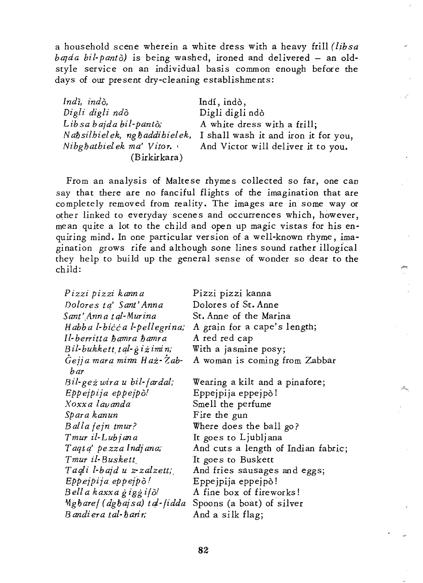a household scene wherein a white dress with a heavy frill *{libsa bada bil-pantò*) is being washed, ironed and delivered - an oldstyle service on an individual basis common enough before the days of our present dry-cleaning establishments:

| Indi, indò,                   | Indí, indò,                          |
|-------------------------------|--------------------------------------|
| Digli digli ndò               | Digli digli ndò                      |
| Lib sa bajda bil-pantò;       | A white dress with a frill;          |
| Nabsilbielek, ng baddibielek, | I shall wash it and iron it for you, |
| Nibghathielek ma' Vitor.      | And Victor will deliver it to you.   |
| (Birkirkara)                  |                                      |

From an analysis of Maltese rhymes collected so far, one can say that there are no fanciful flights of the imagination that are completely removed from reality. The images are in some way or other linked to everyday scenes and occurrences which, however, mean quite a lot to the child and open up magic vistas for his enquiring mind. In one particular version of a well-known rhyme, imagination grows rife and although sone lines sound rather illogical they help to build up the general sense of wonder so dear to the child:

| Pizzi pizzi kanna                | Pizzi pizzi kanna                   |
|----------------------------------|-------------------------------------|
| Dolores ta' Sant'Anna            | Dolores of St. Anne                 |
| Sant' Ann a t al-Murina          | St. Anne of the Marina              |
| Habba l-bicca l-pellegrina;      | A grain for a cape's length;        |
| Il-berritta hamra hamra          | A red red cap                       |
| $Bil$ -bukkett tal-gizimin;      | With a jasmine posy;                |
| Gejja mara minn Haż-Zab-<br>b ar | A woman is coming from Zabbar       |
| $Bil$ -geż wira u bil-fardal;    | Wearing a kilt and a pinafore;      |
| Eppeipija eppeipò!               | Eppejpija eppejpò!                  |
| Xoxxa lavanda                    | Smell the perfume                   |
| Spara kanun                      | Fire the gun                        |
| Balla fejn tmur?                 | Where does the ball go?             |
| Tmur il-Lubjana                  | It goes to Ljubljana                |
| Taqta' pezza Indiana;            | And cuts a length of Indian fabric; |
| Tmur il-Buskett                  | It goes to Buskett                  |
| Taqli l-bajd u z-zalzetti.       | And fries sausages and eggs;        |
| Eppejpija epjejb!                | Eppejpija eppejpò!                  |
| Bell a kaxxa giggifò!            | A fine box of fireworks!            |
| Mgharef (dghajsa) tal-fidda      | Spoons (a boat) of silver           |
| $B$ andi era tal- $b$ arir;      | And a silk flag;                    |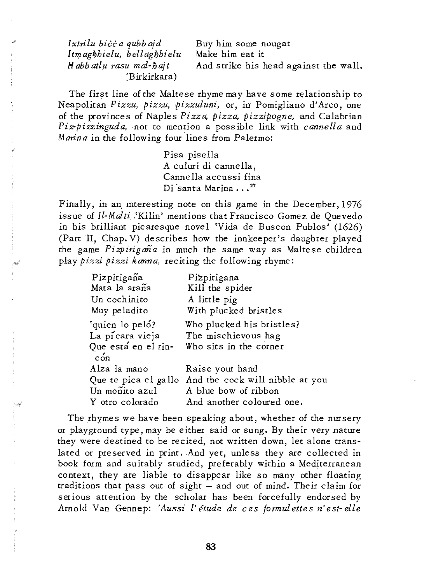Ixtrilu bicc a qubb ajd *ItTT,lagMielu, bellaghhielu Habbatlli rasu mal-hajt*  :Birkirkara)

Buy him some nougat Make him eat *it*  And strike his head against the wall.

The first line of the Maltese rhyme may have some relationship to Neapolitan *Pizzu, pizzu, pizzuluni,* or, in Pomigliano d'Arco, one of the provinces of Naples *Pizza, pizza, pizzipogne,* and Calabrian *Piz-pizzinguda,* 'not to mention a possible link with *cannella* and *Manna* in the following four lines from Palermo:

> Pisa pisella A culuri di cannella, Canne lla accussi fina Di santa Marina ...<sup>27</sup>

Finally, in an, mteresting note on this game in the December, 1976 issue of *Il-Malti*. 'Kilin' mentions that Francisco Gomez de Quevedo in his brilliant picaresque novel 'Vida de Buscon Publos' (1626) (Part 11, Chap. V) describes how the innkeeper's daughter played the game *Pizpirigana* in much the same way as Maltese children play *pizzi pizzi kanna,* reciting the following rhyme:

| Pizpirigaña                   | Pizpirigana                                          |
|-------------------------------|------------------------------------------------------|
| Mata la araña                 | Kill the spider                                      |
| Un cochinito                  | A little pig                                         |
| Muy peladito                  | With plucked bristles                                |
| 'quien lo peló?               | Who plucked his bristles?                            |
| La picara vieja               | The mischievous hag                                  |
| Que está en el rin-<br>$\sin$ | Who sits in the corner                               |
| Alza la mano                  | Raise your hand                                      |
|                               | Que te pica el gallo And the cock will nibble at you |
| Un moñito azul                | A blue bow of ribbon                                 |
| Y otro colorado               | And another coloured one.                            |

The rhymes we have been speaking about, whether of the nursery or playground type, may be either said or sung. By their very nature they were destined to be recited, not written down, let alone translated or preserved in print. And yet, unless they are collected in book form and suitably studied, preferably within a Mediterranean context, they are liable to disappear like so many other floating traditions that pass out of sight - and out of mind. Their claim for serious attention by the scholar has been forcefully endorsed by Arnold Van Gennep: *'Aussi l' etude de ces formulettes n'est-elle*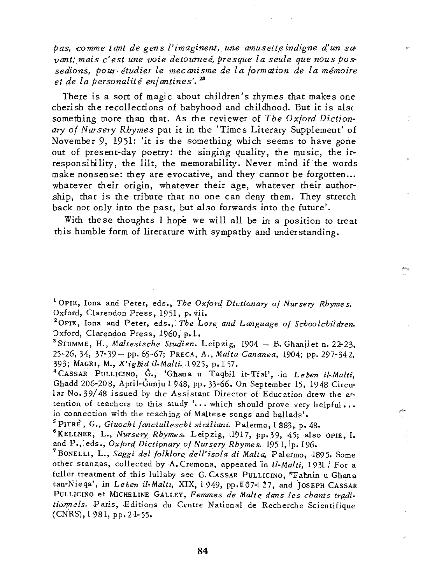*pas, comme tant de gens l'imaginent, une amusette indigne d'un sa*vant; mais c'est une voie detourneé, presque la seule que nous possedions, pour étudier le mecanisme de la formation de la mémoire *et de la personalite enfantines'.* <sup>28</sup>

There is a sort of magic about children's rhymes that makes one cherish the recollections of babyhood and childhood. But it is als( something more than that. As the reviewer of *The Oxford Dictionary of Nursery Rhymes* put it in the 'Times Literary Supplement' of November 9, 1951: 'it is the something which seems to have gone out of present-day poetry: the singing quality, the music, the irresponsibility, the lilt, the memorability. Never mind if the words make nonsense: they are evocative, and they cannot be forgotten... whatever their origin, whatever their age, whatever their authorship, that. is the tribute that no one can deny them. They stretch back not only into the past, but also forwards into the future'.

With these thoughts I hope we will all be in a position to treat this humble form of literature with sympathy and understanding.

<sup>1</sup> OPIE, Iona and Peter, eds., *The Oxford Dictionary of Nursery Rhymes*. Oxford, Clarendon Press, 1951, p. vii.

<sup>2</sup> OPIE, Iona and Peter, eds., *The Lore and Language of Schoolchildren*. Oxford, Clarendon Press, 1960, p.1.

<sup>3</sup> STUMME, H., *Maltesische Studien*. Leipzig, 1904 - B. Ghanjiet n. 22-23, 25-26,34, 37-39 - pp. 65-67; PRECA, A., *Malta Cananea,* 1904; pp. 297-342, 393; MAGRI, M., *X'igliid il.Malti ..* . 1925, p.157.

<sup>4</sup> CASSAR PULLICINO, G., 'Ghana u Taqbil it-Tfal', in *Leben il-Malti*, Ghadd 206-208, April-Gunju 1948, pp. 33-66. On September 15, 1948 Circular No. 39/48 issued by the Assistant Director of Education drew the attention of teachers to this study '... which should prove very helpful ... in connection with the teaching of Maltese songs and ballads'.

<sup>5</sup> PITRE, G., *Giuochi fanciulleschi siciliani*. Palermo, 1 883, p. 48.

<sup>6</sup>KELLNER, L., *Nursery Rhymes.* Leipzig, 1917, pp.39, 45; also OPIE, I. and P., eds., *Oxford Dictionary of Nursery Rhymes*. 1951, p. 196.

7BoNELLI, L., *Saggi del folklore, dell'isola di Malta"* Palermo, 1895. Some other stanzas, collected by A. Cremona, appeared in *Il-Malti.* 1931, For a fuller treatment of this lullaby see G. CASSAR PULLICINO, \*Tahnin u Ghana tan-Nieqa', in *Lehen il-Malti*. *XIX, 1949*, pp.107-127, and JOSEPH CASSAR PULLICINO et MICHELINE GALLEY, Femmes de Malte dans les chants traditionnels. Paris, Editions du Centre National de Recherche Scientifique (CNRS), L 981, pp. 21-55.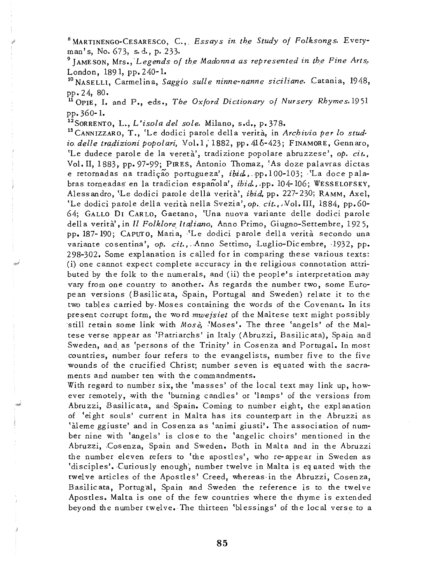<sup>8</sup> MARTINENGO-CESARESCO, C., *Essays in the Study of Folksongs*. Everyman's, No. 673, s.d., p. 233.

<sup>9</sup> JAMESON, Mrs., *Legends of the Madonna as represented in the Fine Arts*. London, 1891, pp.240-1.

10 NASELLI, Carmelina, *Saggio suU e ninne-nanne siciliane.* Catania, 1948, pp.24, 80.

11 OPIE, **I.** and P., eds., *The Oxford Dictionary of Nursery Rhymes.1951*  pp.360-1.

12S0RRENTO, L., *L'isola del sole.* Milano, s.d., p. 378.

13CANNJZZARO, T., 'Le dodici parole della verita, in *Archivio per* 10 *stud*io delle tradizioni popolari, Vol. 1, 1882, pp. 416-423; FINAMORE, Gennaro, 'Le dudece parole de la vereta', tradizione popolare abruzzese', *op. cit.,*  Vol. II, 1883, pp. 97-99; PIRES, Antonio Thomaz, 'As doze palavras dictas e retornadas na tradição portugueza', *ibid.*, pp.100-103; 'La doce palabras torneadas en la tradicion espanola', *ibid.,* ,pp. 104-106; WESSELOFSKY, Alessandro, 'Le dodici parole della verità', *ibid*, pp. 227-230; RAMM, Axel, 'Le dodici parole della verità nella Svezia', *op. cit...* Vol. III, 1884, pp.60-64; GALLO DI CARLO, Gaetano, 'Una nuova variante delle dodici parole dell a verita' ,in *II Folklore Ita/iano,* Anno Primo, Giugno-Settembre, 1925, pp. 187-190; CAPUTO, Maria, 'Le dodici parole della verità secondo una variante cosentina', op. cit., Anno Settimo, Luglio-Dicembre, 1932, pp. 298-302. Some explanation is called for in comparing these various texts: (i) one cannot expect complete accuracy in the religious connotation attributed by the folk to the numerals, and (ii) the people's interpretation may vary from one country to another. As regards the number two, some European versions (Basilicata, Spain, Portugal and Sweden) relate it to the two tables carried by. Moses containing the words of the Covenant. In its present corrupt form, the word *mwejsiet* pf the Maltese text might possibly still retain some link with Mose, 'Moses'. The three 'angels' of the Maltese verse appear as'Ratriarchs' in Italy (Abruzzi, Basilicata), Spain ana Sweden, and as 'p,ersons of the Trinity' in Cosenza and Portugal. In most countries, number four refers to the evangelists, number five to the five wounds of the crucified Christ; number seven is equated with the sacraments and number ten with the commandments.

With regard to number six, the 'masses' of the iocal text may link up, however remotely, with the 'burning candles' or 'lamps' of the versions from Abruzzi, Basilicata, and Spain. Coming to number eight, the explanation of 'eight souls' current in Malta has its counterpart in the Abruzzi as 'aleme ggiuste' and in Cosenza as 'animi giusti'. The association of number nine with 'angels' is close to the 'angelic choirs' mentioned in the Abruzzi, Cosenza, Spain and Sweden. Both in Malta and in the Abruzzi the number eleven refers to 'the apostles', who re-appear in Sweden as 'disciples'. Curiously enough, number twelve in Malta is equated with the twelve articles of the Apostles' Creed, whereas in the Abruzzi, Cosenza, Basilicata, Portugal, Spain and Sweden the reference is to the twelve Apostles. Malta is one of the few countries where the rhyme is extended beyond the number twelve. The thirteen 'blessings' of the local verse to a

**85**